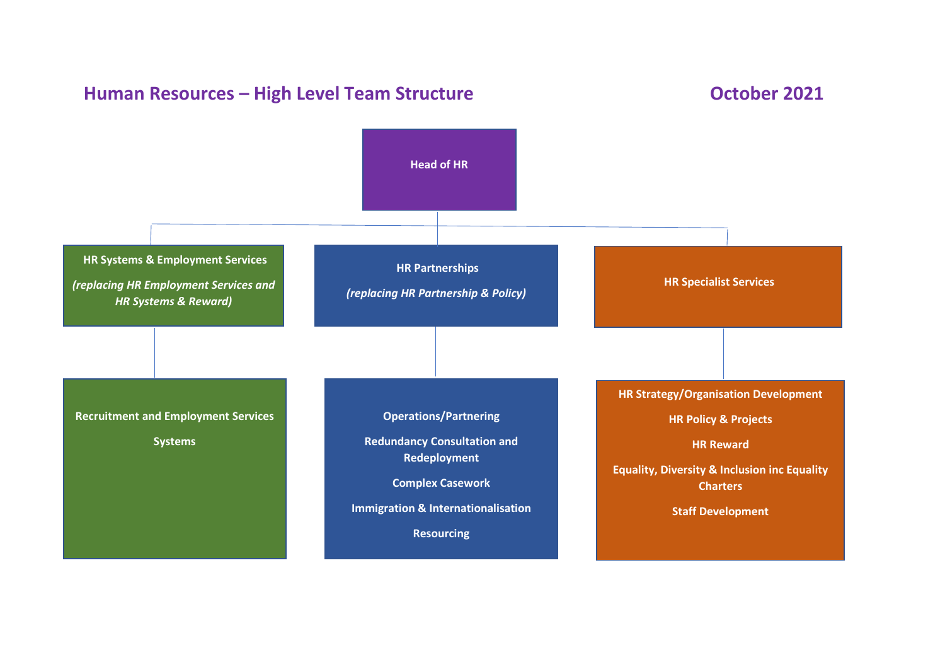## **Human Resources – High Level Team Structure <b>Designalished Controller 1986 October 2021 Head of HR HR Systems & Employment Services** *(replacing HR Employment Services and HR Systems & Reward)*  **HR Partnerships** *(replacing HR Partnership & Policy)* **HR Specialist Services Recruitment and Employment Services Systems Operations/Partnering Redundancy Consultation and Redeployment Complex Casework Immigration & Internationalisation Resourcing HR Strategy/Organisation Development HR Policy & Projects HR Reward Equality, Diversity & Inclusion inc Equality Charters Staff Development**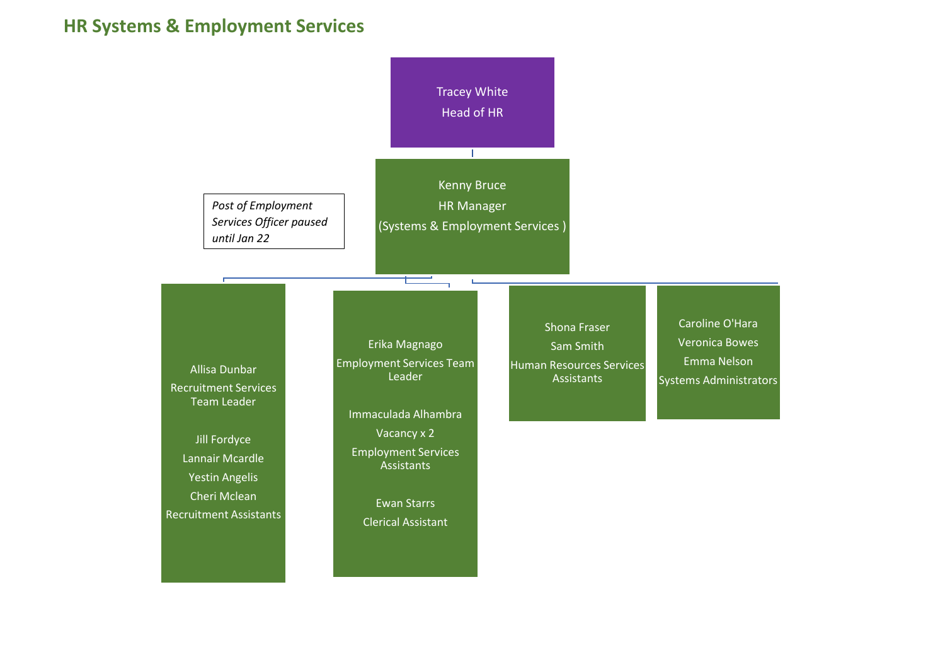## **HR Systems & Employment Services**

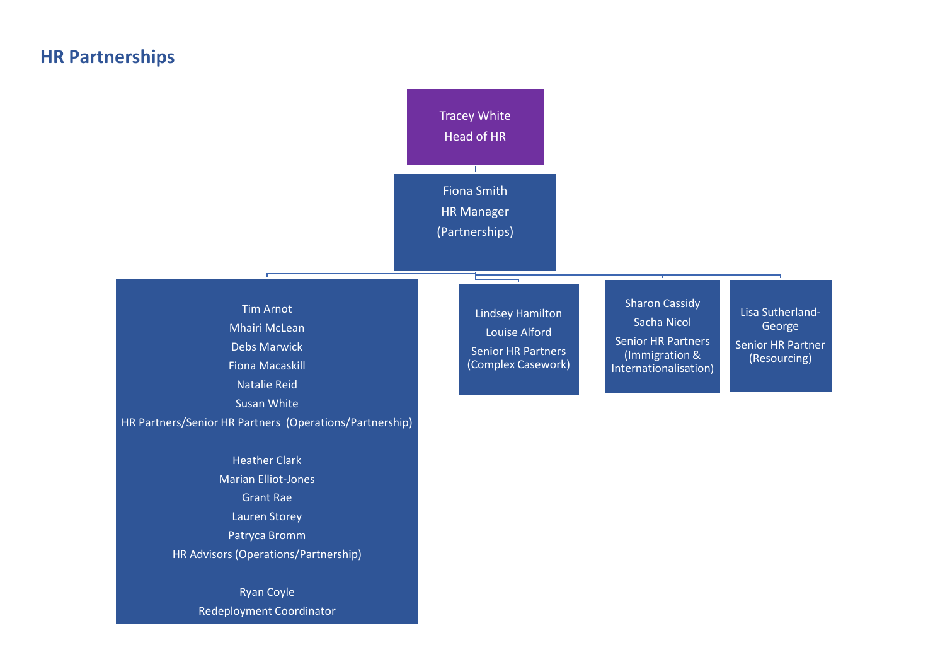## **HR Partnerships**